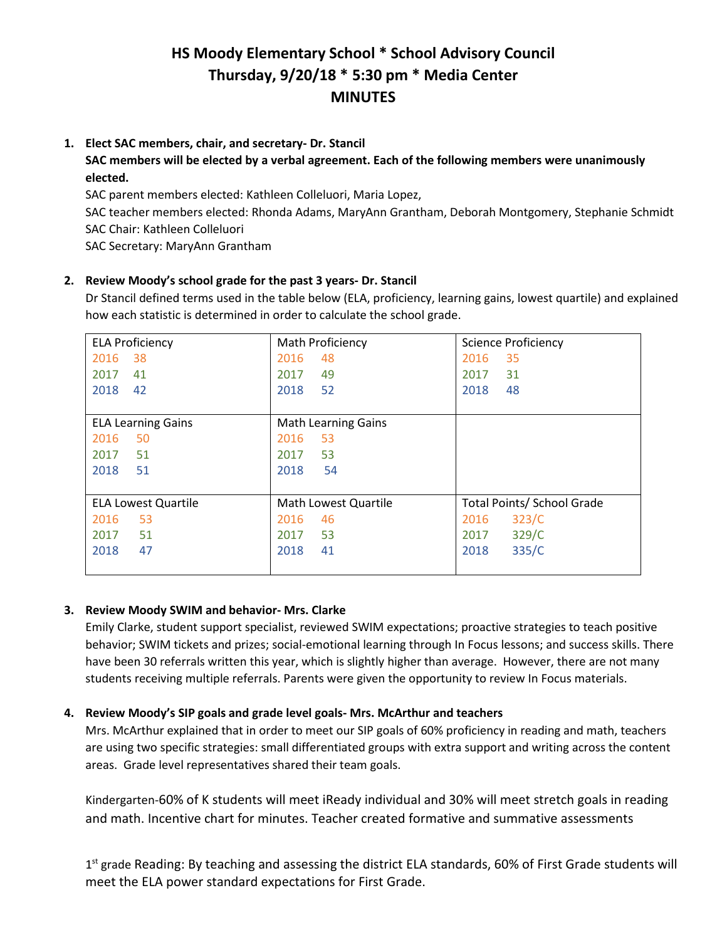# **HS Moody Elementary School \* School Advisory Council Thursday, 9/20/18 \* 5:30 pm \* Media Center MINUTES**

#### **1. Elect SAC members, chair, and secretary- Dr. Stancil**

**SAC members will be elected by a verbal agreement. Each of the following members were unanimously elected.** 

SAC parent members elected: Kathleen Colleluori, Maria Lopez,

SAC teacher members elected: Rhonda Adams, MaryAnn Grantham, Deborah Montgomery, Stephanie Schmidt SAC Chair: Kathleen Colleluori

SAC Secretary: MaryAnn Grantham

### **2. Review Moody's school grade for the past 3 years- Dr. Stancil**

Dr Stancil defined terms used in the table below (ELA, proficiency, learning gains, lowest quartile) and explained how each statistic is determined in order to calculate the school grade.

| <b>ELA Proficiency</b>     | Math Proficiency           | <b>Science Proficiency</b>        |
|----------------------------|----------------------------|-----------------------------------|
| 2016<br>38                 | 2016<br>48                 | 2016<br>35                        |
| 2017<br>41                 | 49<br>2017                 | 31<br>2017                        |
| 2018<br>42                 | 52<br>2018                 | 2018<br>48                        |
|                            |                            |                                   |
| <b>ELA Learning Gains</b>  | <b>Math Learning Gains</b> |                                   |
| 2016<br>50                 | 53<br>2016                 |                                   |
| 2017<br>51                 | 53<br>2017                 |                                   |
| 2018<br>51                 | 2018<br>54                 |                                   |
|                            |                            |                                   |
| <b>ELA Lowest Quartile</b> | Math Lowest Quartile       | <b>Total Points/ School Grade</b> |
| 2016<br>53                 | 2016<br>46                 | 323/C<br>2016                     |
| 2017<br>51                 | 53<br>2017                 | 329/C<br>2017                     |
| 2018<br>47                 | 41<br>2018                 | 2018<br>335/C                     |
|                            |                            |                                   |

### **3. Review Moody SWIM and behavior- Mrs. Clarke**

Emily Clarke, student support specialist, reviewed SWIM expectations; proactive strategies to teach positive behavior; SWIM tickets and prizes; social-emotional learning through In Focus lessons; and success skills. There have been 30 referrals written this year, which is slightly higher than average. However, there are not many students receiving multiple referrals. Parents were given the opportunity to review In Focus materials.

### **4. Review Moody's SIP goals and grade level goals- Mrs. McArthur and teachers**

Mrs. McArthur explained that in order to meet our SIP goals of 60% proficiency in reading and math, teachers are using two specific strategies: small differentiated groups with extra support and writing across the content areas. Grade level representatives shared their team goals.

Kindergarten-60% of K students will meet iReady individual and 30% will meet stretch goals in reading and math. Incentive chart for minutes. Teacher created formative and summative assessments

 $1<sup>st</sup>$  grade Reading: By teaching and assessing the district ELA standards, 60% of First Grade students will meet the ELA power standard expectations for First Grade.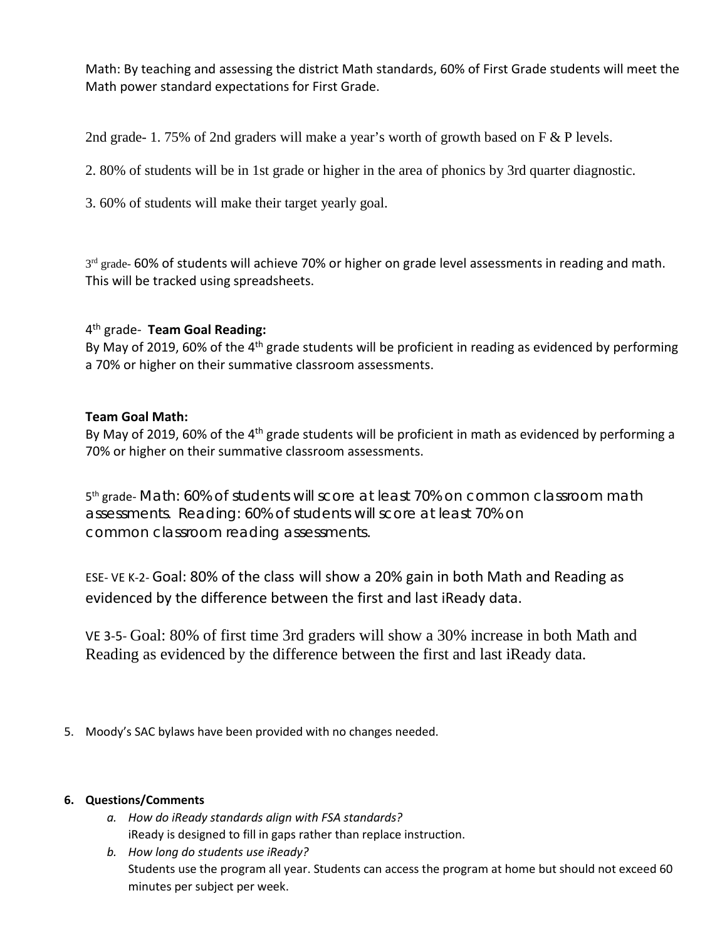Math: By teaching and assessing the district Math standards, 60% of First Grade students will meet the Math power standard expectations for First Grade.

2nd grade- 1. 75% of 2nd graders will make a year's worth of growth based on F & P levels.

2. 80% of students will be in 1st grade or higher in the area of phonics by 3rd quarter diagnostic.

3. 60% of students will make their target yearly goal.

3rd grade- 60% of students will achieve 70% or higher on grade level assessments in reading and math. This will be tracked using spreadsheets.

## 4th grade- **Team Goal Reading:**

By May of 2019, 60% of the  $4<sup>th</sup>$  grade students will be proficient in reading as evidenced by performing a 70% or higher on their summative classroom assessments.

## **Team Goal Math:**

By May of 2019, 60% of the 4<sup>th</sup> grade students will be proficient in math as evidenced by performing a 70% or higher on their summative classroom assessments.

5<sup>th</sup> grade- Math: 60% of students will score at least 70% on common classroom math assessments. Reading: 60% of students will score at least 70% on common classroom reading assessments.

ESE- VE K-2- Goal: 80% of the class will show a 20% gain in both Math and Reading as evidenced by the difference between the first and last iReady data.

VE 3-5- Goal: 80% of first time 3rd graders will show a 30% increase in both Math and Reading as evidenced by the difference between the first and last iReady data.

5. Moody's SAC bylaws have been provided with no changes needed.

### **6. Questions/Comments**

- *a. How do iReady standards align with FSA standards?* iReady is designed to fill in gaps rather than replace instruction.
- *b. How long do students use iReady?* Students use the program all year. Students can access the program at home but should not exceed 60 minutes per subject per week.